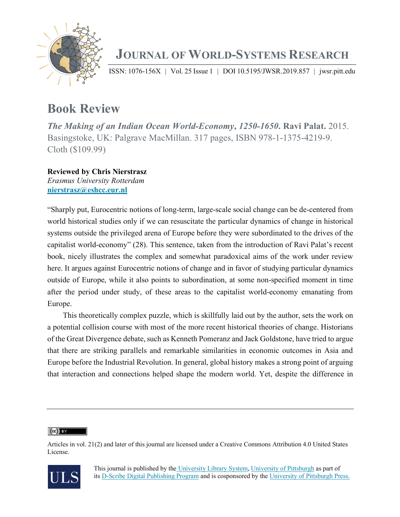

## **JOURNAL OF WORLD-SYSTEMS RESEARCH**

ISSN: 1076-156X | Vol. 25 Issue 1 | DOI 10.5195/JWSR.2019.857 | jwsr.pitt.edu

## **Book Review**

*The Making of an Indian Ocean World-Economy***,** *1250-1650***. Ravi Palat.** 2015. Basingstoke, UK: Palgrave MacMillan. 317 pages, ISBN 978-1-1375-4219-9. Cloth (\$109.99)

**Reviewed by Chris Nierstrasz** *Erasmus University Rotterdam* **nierstrasz@eshcc.eur.nl**

"Sharply put, Eurocentric notions of long-term, large-scale social change can be de-centered from world historical studies only if we can resuscitate the particular dynamics of change in historical systems outside the privileged arena of Europe before they were subordinated to the drives of the capitalist world-economy" (28). This sentence, taken from the introduction of Ravi Palat's recent book, nicely illustrates the complex and somewhat paradoxical aims of the work under review here. It argues against Eurocentric notions of change and in favor of studying particular dynamics outside of Europe, while it also points to subordination, at some non-specified moment in time after the period under study, of these areas to the capitalist world-economy emanating from Europe.

This theoretically complex puzzle, which is skillfully laid out by the author, sets the work on a potential collision course with most of the more recent historical theories of change. Historians of the Great Divergence debate, such as Kenneth Pomeranz and Jack Goldstone, have tried to argue that there are striking parallels and remarkable similarities in economic outcomes in Asia and Europe before the Industrial Revolution. In general, global history makes a strong point of arguing that interaction and connections helped shape the modern world. Yet, despite the difference in

 $(cc)$  BY

Articles in vol. 21(2) and later of this journal are licensed under a Creative Commons Attribution 4.0 United States License.

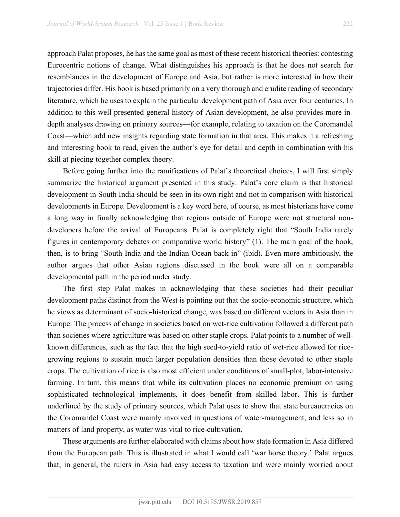approach Palat proposes, he has the same goal as most of these recent historical theories: contesting Eurocentric notions of change. What distinguishes his approach is that he does not search for resemblances in the development of Europe and Asia, but rather is more interested in how their trajectories differ. His book is based primarily on a very thorough and erudite reading of secondary literature, which he uses to explain the particular development path of Asia over four centuries. In addition to this well-presented general history of Asian development, he also provides more indepth analyses drawing on primary sources—for example, relating to taxation on the Coromandel Coast—which add new insights regarding state formation in that area. This makes it a refreshing and interesting book to read, given the author's eye for detail and depth in combination with his skill at piecing together complex theory.

Before going further into the ramifications of Palat's theoretical choices, I will first simply summarize the historical argument presented in this study. Palat's core claim is that historical development in South India should be seen in its own right and not in comparison with historical developments in Europe. Development is a key word here, of course, as most historians have come a long way in finally acknowledging that regions outside of Europe were not structural nondevelopers before the arrival of Europeans. Palat is completely right that "South India rarely figures in contemporary debates on comparative world history" (1). The main goal of the book, then, is to bring "South India and the Indian Ocean back in" (ibid). Even more ambitiously, the author argues that other Asian regions discussed in the book were all on a comparable developmental path in the period under study.

The first step Palat makes in acknowledging that these societies had their peculiar development paths distinct from the West is pointing out that the socio-economic structure, which he views as determinant of socio-historical change, was based on different vectors in Asia than in Europe. The process of change in societies based on wet-rice cultivation followed a different path than societies where agriculture was based on other staple crops. Palat points to a number of wellknown differences, such as the fact that the high seed-to-yield ratio of wet-rice allowed for ricegrowing regions to sustain much larger population densities than those devoted to other staple crops. The cultivation of rice is also most efficient under conditions of small-plot, labor-intensive farming. In turn, this means that while its cultivation places no economic premium on using sophisticated technological implements, it does benefit from skilled labor. This is further underlined by the study of primary sources, which Palat uses to show that state bureaucracies on the Coromandel Coast were mainly involved in questions of water-management, and less so in matters of land property, as water was vital to rice-cultivation.

These arguments are further elaborated with claims about how state formation in Asia differed from the European path. This is illustrated in what I would call 'war horse theory.' Palat argues that, in general, the rulers in Asia had easy access to taxation and were mainly worried about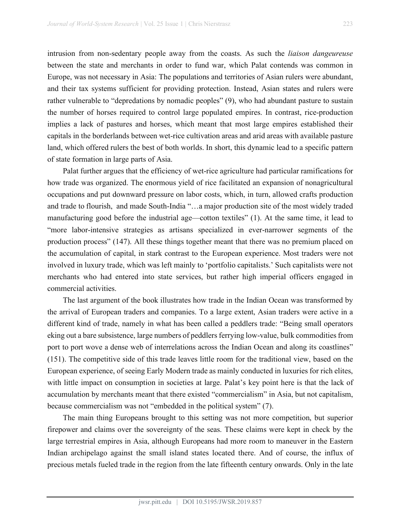intrusion from non-sedentary people away from the coasts. As such the *liaison dangeureuse* between the state and merchants in order to fund war, which Palat contends was common in Europe, was not necessary in Asia: The populations and territories of Asian rulers were abundant, and their tax systems sufficient for providing protection. Instead, Asian states and rulers were rather vulnerable to "depredations by nomadic peoples" (9), who had abundant pasture to sustain the number of horses required to control large populated empires. In contrast, rice-production implies a lack of pastures and horses, which meant that most large empires established their capitals in the borderlands between wet-rice cultivation areas and arid areas with available pasture land, which offered rulers the best of both worlds. In short, this dynamic lead to a specific pattern of state formation in large parts of Asia.

Palat further argues that the efficiency of wet-rice agriculture had particular ramifications for how trade was organized. The enormous yield of rice facilitated an expansion of nonagricultural occupations and put downward pressure on labor costs, which, in turn, allowed crafts production and trade to flourish, and made South-India "…a major production site of the most widely traded manufacturing good before the industrial age—cotton textiles" (1). At the same time, it lead to "more labor-intensive strategies as artisans specialized in ever-narrower segments of the production process" (147). All these things together meant that there was no premium placed on the accumulation of capital, in stark contrast to the European experience. Most traders were not involved in luxury trade, which was left mainly to 'portfolio capitalists.' Such capitalists were not merchants who had entered into state services, but rather high imperial officers engaged in commercial activities.

The last argument of the book illustrates how trade in the Indian Ocean was transformed by the arrival of European traders and companies. To a large extent, Asian traders were active in a different kind of trade, namely in what has been called a peddlers trade: "Being small operators eking out a bare subsistence, large numbers of peddlers ferrying low-value, bulk commodities from port to port wove a dense web of interrelations across the Indian Ocean and along its coastlines" (151). The competitive side of this trade leaves little room for the traditional view, based on the European experience, of seeing Early Modern trade as mainly conducted in luxuries for rich elites, with little impact on consumption in societies at large. Palat's key point here is that the lack of accumulation by merchants meant that there existed "commercialism" in Asia, but not capitalism, because commercialism was not "embedded in the political system" (7).

The main thing Europeans brought to this setting was not more competition, but superior firepower and claims over the sovereignty of the seas. These claims were kept in check by the large terrestrial empires in Asia, although Europeans had more room to maneuver in the Eastern Indian archipelago against the small island states located there. And of course, the influx of precious metals fueled trade in the region from the late fifteenth century onwards. Only in the late